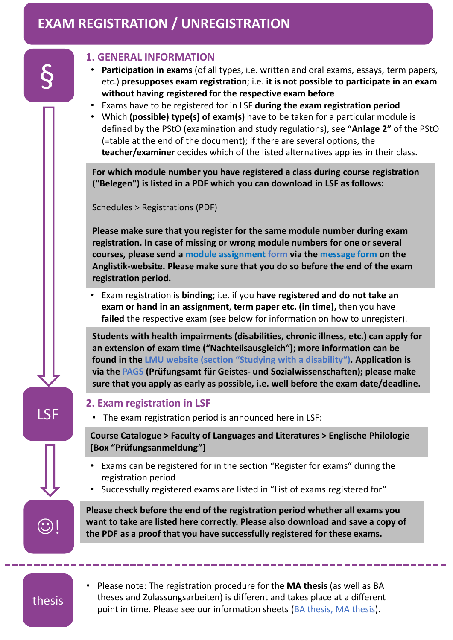## **EXAM REGISTRATION / UNREGISTRATION**

| <b>LSF</b> | <b>1. GENERAL INFORMATION</b><br>Participation in exams (of all types, i.e. written and oral exams, essays, term papers,<br>$\bullet$<br>etc.) presupposes exam registration; i.e. it is not possible to participate in an exam<br>without having registered for the respective exam before<br>Exams have to be registered for in LSF during the exam registration period<br>$\bullet$                                      |
|------------|-----------------------------------------------------------------------------------------------------------------------------------------------------------------------------------------------------------------------------------------------------------------------------------------------------------------------------------------------------------------------------------------------------------------------------|
|            | Which (possible) type(s) of exam(s) have to be taken for a particular module is<br>٠<br>defined by the PStO (examination and study regulations), see "Anlage 2" of the PStO<br>(=table at the end of the document); if there are several options, the<br>teacher/examiner decides which of the listed alternatives applies in their class.                                                                                  |
|            | For which module number you have registered a class during course registration<br>("Belegen") is listed in a PDF which you can download in LSF as follows:                                                                                                                                                                                                                                                                  |
|            | Schedules > Registrations (PDF)                                                                                                                                                                                                                                                                                                                                                                                             |
|            | Please make sure that you register for the same module number during exam<br>registration. In case of missing or wrong module numbers for one or several<br>courses, please send a module assignment form via the message form on the<br>Anglistik-website. Please make sure that you do so before the end of the exam<br>registration period.                                                                              |
|            | Exam registration is binding; i.e. if you have registered and do not take an<br>exam or hand in an assignment, term paper etc. (in time), then you have<br>failed the respective exam (see below for information on how to unregister).                                                                                                                                                                                     |
|            | Students with health impairments (disabilities, chronic illness, etc.) can apply for<br>an extension of exam time ("Nachteilsausgleich"); more information can be<br>found in the LMU website (section "Studying with a disability"). Application is<br>via the PAGS (Prüfungsamt für Geistes- und Sozialwissenschaften); please make<br>sure that you apply as early as possible, i.e. well before the exam date/deadline. |
|            | 2. Exam registration in LSF<br>The exam registration period is announced here in LSF:                                                                                                                                                                                                                                                                                                                                       |
|            | Course Catalogue > Faculty of Languages and Literatures > Englische Philologie<br>[Box "Prüfungsanmeldung"]                                                                                                                                                                                                                                                                                                                 |
|            | Exams can be registered for in the section "Register for exams" during the<br>registration period<br>Successfully registered exams are listed in "List of exams registered for"<br>٠                                                                                                                                                                                                                                        |
|            | Please check before the end of the registration period whether all exams you<br>want to take are listed here correctly. Please also download and save a copy of<br>the PDF as a proof that you have successfully registered for these exams.                                                                                                                                                                                |
|            |                                                                                                                                                                                                                                                                                                                                                                                                                             |

• Please note: The registration procedure for the **MA thesis** (as well as BA theses and Zulassungsarbeiten) is different and takes place at a different point in time. Please see our information sheets (BA thesis, MA thesis).

thesis